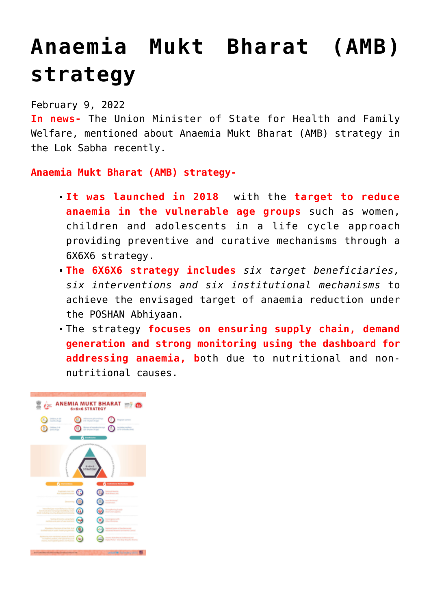## **[Anaemia Mukt Bharat \(AMB\)](https://journalsofindia.com/anaemia-mukt-bharat-amb-strategy/) [strategy](https://journalsofindia.com/anaemia-mukt-bharat-amb-strategy/)**

## February 9, 2022

**In news-** The Union Minister of State for Health and Family Welfare, mentioned about Anaemia Mukt Bharat (AMB) strategy in the Lok Sabha recently.

## **Anaemia Mukt Bharat (AMB) strategy-**

- **It was launched in 2018** with the **target to reduce anaemia in the vulnerable age groups** such as women, children and adolescents in a life cycle approach providing preventive and curative mechanisms through a 6X6X6 strategy.
- **The 6X6X6 strategy includes** *six target beneficiaries, six interventions and six institutional mechanisms* to achieve the envisaged target of anaemia reduction under the POSHAN Abhiyaan.
- The strategy **focuses on ensuring supply chain, demand generation and strong monitoring using the dashboard for addressing anaemia, b**oth due to nutritional and nonnutritional causes.